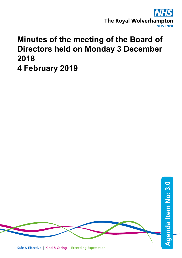

# **Minutes of the meeting of the Board of Directors held on Monday 3 December 2018 4 February 2019**

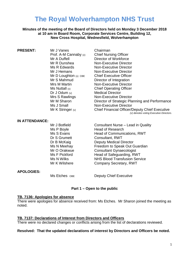## **The Royal Wolverhampton NHS Trust**

## **Minutes of the meeting of the Board of Directors held on Monday 3 December 2018 at 10 am in Board Room, Corporate Services Centre, Building 12, New Cross Hospital, Wednesfield, Wolverhampton**

| <b>PRESENT:</b>         | Chairman                                              |
|-------------------------|-------------------------------------------------------|
| Mr J Vanes              | <b>Chief Nursing Officer</b>                          |
| Prof. A-M Cannaby $(v)$ | Director of Workforce                                 |
| Mr A Duffell            | <b>Non-Executive Director</b>                         |
| Mr R Dunshea            | <b>Non-Executive Director</b>                         |
| Ms R Edwards            | <b>Non-Executive Director</b>                         |
| Mr J Hemans             | <b>Chief Executive Officer</b>                        |
| Mr D Loughton $(v)$ CBE | Director of Integration                               |
| Mr S Mahmud             | <b>Non-Executive Director</b>                         |
| Mrs M Martin            | <b>Chief Operating Officer</b>                        |
| Ms Nuttall $(v)$        | <b>Medical Director</b>                               |
| Dr J Odum $(v)$         | Non-Executive Director                                |
| Mrs S Rawlings          | Director of Strategic Planning and Performance        |
| Mr M Sharon             | <b>Non-Executive Director</b>                         |
| Ms J Small              | <b>Chief Financial Officer/Deputy Chief Executive</b> |
| Mr K Stringer (v)       | (v) denotes voting Executive Directors.               |

#### **IN ATTENDANCE:**

Mr J Botfield Consultant Nurse – Lead in Quality<br>
Ms P Bovle Head of Research Head of Research Ms S Evans **Head of Communications, RWT** Dr S Grumett Consultant, RWT Dr B McKaig Deputy Medical Director Ms N Meehay **Freedom to Speak Out Guardian** Mr O Orakwue **Consultant Gynaecologist**<br>
Ms F Pickford **CONS** Head of Safeguarding. RV Head of Safeguarding, RWT Ms N Wilks Nation Service<br>
Mr K Wilshere Mr K Wilshere Company Secretary, RWT Company Secretary, RWT

#### **APOLOGIES:**

Ms Etches OBE Deputy Chief Executive

## **Part 1 – Open to the public**

#### **TB. 7136: Apologies for absence**

There were apologies for absence received from: Ms Etches. Mr Sharon joined the meeting as noted.

#### **TB. 7137: Declarations of Interest from Directors and Officers**

There were no declared changes or conflicts arising from the list of declarations reviewed.

#### **Resolved: That the updated declarations of interest by Directors and Officers be noted.**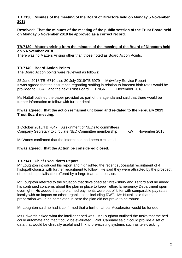## **TB.7138: Minutes of the meeting of the Board of Directors held on Monday 5 November 2018**

**Resolved: That the minutes of the meeting of the public session of the Trust Board held on Monday 5 November 2018 be approved as a correct record.**

## **TB.7139: Matters arising from the minutes of the meeting of the Board of Directors held on 5 November 2018**

There was no Matters Arising other than those noted as Board Action Points.

## **TB.7140: Board Action Points**

The Board Action points were reviewed as follows:

25 June 2018/TB 6710 also 30 July 2018/TB 6979 Midwifery Service Report It was agreed that the assurance regarding staffing in relation to forecast birth rates would be provided to QGAC and the next Trust Board. TP/GN December 2018

Ms Nuttall outlined the paper provided as part of the agenda and said that there would be further information to follow with further detail.

## **It was agreed: that the action remained unclosed and re-dated to the February 2019 Trust Board meeting.**

1 October 2018/TB 7047 Assignment of NEDs to committees Company Secretary to circulate NED Committee membership KW November 2018

Mr Vanes confirmed that the information had been circulated.

## **It was agreed: that the Action be considered closed.**

## **TB.7141: Chief Executive's Report**

Mr Loughton introduced his report and highlighted the recent successful recruitment of 4 histopathologists with further recruitment to follow. He said they were attracted by the prospect of the sub-specialisation offered by a large team and service.

Mr Loughton referred to the situation that developed at Shrewsbury and Telford and he added his continued concerns about the plan in place to keep Telford Emergency Department open overnight. He added that the planned payments were out of kilter with comparable pay rates locally with an impact on other organisations including RWT. Ms Nuttall said that the preparation would be completed in case the plan did not prove to be robust.

Mr Loughton said he had it confirmed that a further Linear Accelerator would be funded.

Ms Edwards asked what the intelligent bed was. Mr Loughton outlined the tasks that the bed could automate and that it could be evaluated. Prof. Cannaby said it could provide a set of data that would be clinically useful and link to pre-existing systems such as tele-tracking.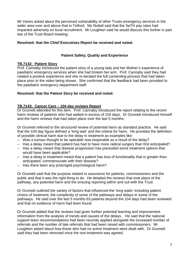Mr Vanes asked about the perceived vulnerability of other Trusts emergency services in the wider area over and above that in Telford. Ms Nuttall said that the SaTH pay rates had impacted adversely on local recruitment. Mr Loughton said he would discuss this further in part two of the Trust Board meeting.

## **Resolved: that the Chief Executives Report be received and noted.**

## **Patient Safety, Quality and Experience**

## **TB.7142: Patient Story**

Prof. Cannaby introduced the patient story of a young lady and her Mother's experience of paediatric emergency services when she had broken her arm. Prof. Cannaby said they had related a positive experience and she re-iterated the full consenting process that had taken place prior to the video being shown. She confirmed that the feedback had been provided to the paediatric emergency department staff.

## **Resolved: that the Patient Story be received and noted.**

## **TB.7143: Cancer Care – 104 day reviews Report**

Dr Grumett attended for this item. Prof. Cannaby introduced the report relating to the recent harm reviews of patients who had waited in excess of 104 days. Dr Grumett introduced himself and the harm reviews that had taken place over the last 5 months.

Dr Grumett referred to the structured review of potential harm as standard practice. He said that the 104 day figure defined a 'long wait' and the criteria for harm. He provided the definition of possible clinical harm due to the delay in treatment as examples like:

- Was a tumour thought to be operable now inoperable as a result of the delay?
- Has a delay meant that patient has had to have more radical surgery than first anticipated?
- Has a delay meant that disease progression has precluded some treatment options that would have been applicable?
- Has a delay in treatment meant that a patient has loss of functionality that is greater than anticipated, commensurate with their disease?
- Has there been any prolonged psychological harm?

Dr Grumett said that the purpose related to assurance for patients, commissioners and the public and that it was the right thing to do. He detailed the reviews that took place of the pathway, any potential harm and the ensuing reporting within and out-with the Trust.

Dr Grumett outlined the variety of factors that influenced the 'long waits' including patient choice of treatment, the complexity of some of the pathways and delays in some of the pathways. He said over the last 5 months 63 patients beyond the 104 days had been reviewed and that no evidence of harm had been found.

Dr Grumett added that the reviews had given further potential learning and improvement information from the analysis of trends and causes of the delays. He said that the national support team recommendations had been recently applied alongside the increased number of referrals and the number of late referrals that had been raised with commissioners. Mr Loughton asked about how those who had no active treatment were dealt with. Dr Grumett said they had been removed once the non-treatment was agreed.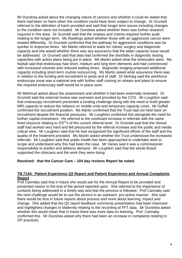Mr Dunshea asked about the changing nature of cancers and whether it could be stated that there had been no harm when the condition could have been subject to change. Dr Grumett referred to the definition of harm provided and said that longer term issues including changes to the condition were not included. Mr Dunshea asked whether there was further research required in this area. Dr Grumett said that the reviews and criteria required further audit relating to the longer term. Ms Rawlings asked whether those with an aggressive cancer were treated differently. Dr Grumett confirmed that the pathway for aggressive conditions was far quicker in response times. Ms Martin referred to waits for robotic surgery and diagnostic capacity and she asked whether there was any assurance that the wider capacity issue would be addressed. Dr Grumett said that data had confirmed the shortfalls in diagnostic testing capacities with action plans being put in place. Ms Martin asked what the timescales were. Ms Nuttall said that endoscopy had short, medium and long term elements and had commenced with increased volumes and reduced waiting times, diagnostic imaging proposed additional capacity including short-term routine outsourcing. Ms Martin asked what assurance there was in relation to the funding and recruitment to posts and of staff. Dr McKaig said the workforce endoscopy issue was a national one with further staff coming on stream and plans to ensure the required endoscopy staff would be in place soon.

Mr Mahmud asked about the assessment and whether it had been externally reviewed. Dr Grumett said the external review was overseen and provided by the CCG. Mr Loughton said that endoscopy recruitment presented a funding challenge along with the need to build greater MRI capacity to reduce the reliance on mobile units and temporary capacity costs. Mr Duffell confirmed the recruitment position. Ms Martin confirmed that the Trust had not held back on recruitment despite the financial pressures. Mr Loughton confirmed this alongside the need for further capital investment. He referred to the continued increase in referrals with the same fixed resource relating to  $2/3^{rd}$ 's of the current referral level. Dr Grumett said that the clinical staff had worked very hard and felt pressured by the referral increase and the public and media critical view. Mr Loughton said that he had recognised the significant efforts of the staff and the quality of the treatment provided. Ms Martin asked whether the Trust understood the increased referrals. Mr Loughton said that public health has been approached to undertake work to scope and understand why this had been the case. Mr Vanes said it was a commissioner responsibility to predict and address demand. Mr Loughton said that the whole Board supported the clinicians and the work they were doing.

## **Resolved: that the Cancer Care – 104 day reviews Report be noted.**

#### **TB.7144: Patient Experience Q2 Report and Patient Experience and Annual Complaints Report**

Prof Cannaby said that in future she would ask for the Annual Report to be provided and presented nearer to the end of the period reported upon. She referred to the importance of contacts being addressed in a timely way and that the process is followed. Prof Cannaby said the next challenge would be to use the service in an outreach, pro-active manner. She said there would be less in future reports about process and more about learning, impact and change. She added that the Q2 report feedback comments presentation had been improved and highlighted changes in Maternity relating to the recording of FFT data. Mr Dunshea asked whether this would mean that in future there was more data on learning. Prof. Cannaby confirmed this. Mr Dunshea asked why there had been an increase in complaints relating to GP practices.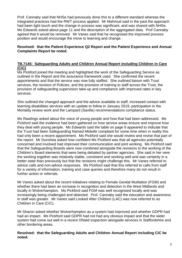Prof. Cannaby said that NHSe had previously done this to a different standard whereas the integrated practices had the RWT process applied. Mr Mahmud said in the past the approach had been light touch and the change in process was significant, and was shared with NHSe. Ms Edwards asked about page 11 and the description of the aggregated data. Prof Cannaby agreed that it would be removed. Mr Vanes said that he recognised the improved process position and would encourage the move to learning and change.

## **Resolved: that the Patient Experience Q2 Report and the Patient Experience and Annual Complaints Report be noted.**

## **TB.7145: Safeguarding Adults and Children Annual Report including Children in Care (CiC)**

Ms Pickford joined the meeting and highlighted the work of the Safeguarding Service as outlined in the Report and the assurance framework used. She confirmed the recent appointments and that the service was now fully staffed. She outlined liaison with Trust services, the revision of Policies, and the provision of training to staff across the Trust, the provision of safeguarding supervision take-up and compliance with improved rates in key services.

She outlined the changed approach and the advice available to staff, increased contact with learning disabilities services with an update to follow in January 2019, participation in the Mortality review work and the Lampard (Saville) recommendations compliance status.

Ms Rawlings asked about the voice of young people and how that had been addressed. Ms Pickford said the evidence had been gathered on how service areas ensure and improve how they deal with young people. Ms Edwards said the table on page 9 appeared to indicate that the Trust had been Safeguarding Named Midwife compliant for some time when in reality this had only been a recent appointment. Ms Pickford said she would review and revise that part of the report. Mr Dunshea asked how confident Ms Pickford was that all agencies potentially concerned and involved had improved their communication and joint working. Ms Pickford said that the Safeguarding Boards were now combined alongside the revisions to the working of the Children's Board elements that were being debated by partner agencies. She said in her view the working together was relatively stable, consistent and working well and was certainly in a better state than previously but that the revisions might challenge this. Mr Vanes referred to advice calls and non-advice responses. Ms Pickford said that this referred to calls from staff for a variety of information, training and case queries and therefore many do not result in further action or referrals.

Mr Vanes asked about the recent initiatives relating to Female Genital Mutilation (FGM) and whether there had been an increase in recognition and detection in the West Midlands and locally in Wolverhampton. Ms Pickford said FGM was well recognised locally and was increasingly being challenged and detected. Prof. Cannaby said the education and awareness in staff was greater. Mr Vanes said Looked After Children (LAC) was now referred to as Children in Care (CiC).

Mr Sharon asked whether Wolverhampton as a system had improved and whether GDPR had had an impact. Ms Pickford said GDPR had not had any obvious impact and that the wider system had come out well in a recent Ofsted inspection alongside services in Staffordshire and other bordering areas.

## **Resolved: that the Safeguarding Adults and Children Annual Report including CiC be noted.**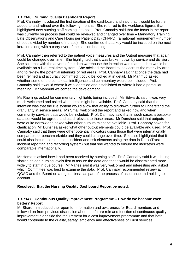## **TB.7146: Nursing Quality Dashboard Report**

Prof. Cannaby introduced the first iteration of the dashboard and said that it would be further added to and refined over the following months. She referred to the workforce figures that highlighted new nursing staff coming into post. Prof. Cannaby said that the focus in the report was currently on process that could be reviewed and changed over time – Mandatory Training, Late Observations and Care Hours per Patient Day (CHPPD) (a national requirement – number of beds divided by number of nurses). She confirmed that a key would be included on the next iteration along with a carry-over of the section heading.

Prof. Cannaby then referred to the patient voice measures and the Output measure that again could be changed over time. She highlighted that it was broken down by service and division. She said that with the advent of the data warehouse the intention was that the data would be available on a live, real-time system. She advised the Board to look across the matrix by area and to review the potential interlinks of red areas. Prof. Cannaby said that once the data had been refined and accuracy confirmed it could be looked at in detail. Mr Mahmud asked whether some of the contextual intelligence and commentary would be included. Prof. Cannaby said it would where it was identified and established or where it had a particular meaning. Mr Mahmud welcomed the development.

Ms Rawlings asked for commentary highlights being included. Ms Edwards said it was very much welcomed and asked what detail might be available. Prof. Cannaby said that the intention was that the live system would allow that ability to dig-down further to understand the granularity in service areas. Ms Small welcomed the report and asked how and when community services data would be included. Prof. Cannaby said that in such cases a bespoke data set would be agreed and used relevant to those areas. Mr Dunshea said that outputs were quite narrow and asked what other outputs might be available. Prof. Cannaby asked for clarification. Mr Dunshea asked what other output elements could be available and used. Prof. Cannaby said that there were other potential indicators using those that were internationally comparable or benchmarkable and they could change over time. She also highlighted that it could also include some patient incident and risk elements using the data in Datix (Trust incident reporting and recording system) but that she wanted to ensure the indicators were comparable internationally.

Mr Hemans asked how it had been received by nursing staff. Prof. Cannaby said it was being shared at lead nursing levels first to assure the data and that it would be disseminated more widely to staff in due course. Mr Vanes said it was very welcomed and interesting and asked which Committee was best to examine the data. Prof. Cannaby recommended review at QGAC and the Board on a regular basis as part of the process of assurance and holding to account.

## **Resolved: that the Nursing Quality Dashboard Report be noted.**

#### **TB.7147: Continuous Quality Improvement Programme – How do we become even better? Report**

Mr Sharon introduced the report for information and awareness for Board members and followed on from previous discussion about the future role and function of continuous quality improvement alongside the requirement for a cost improvement programme and that both would contribute to the quality, safety, efficiency and effectiveness of Trust services.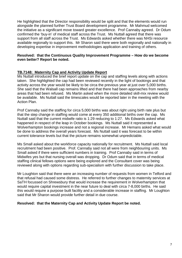He highlighted that the Director responsibility would be split and that the elements would run alongside the planned further Trust Board development programme. Mr Mahmud welcomed the initiative as a significant move toward greater excellence. Prof Cannaby agreed. Dr Odum confirmed the 'buy-in' of medical staff across the Trust. Ms Nuttall agreed that there was support from all staff across the Trust. Ms Edwards asked whether there was NHSi resource available regionally to support this. Mr Sharon said there were both regionally and nationally in developing expertise in improvement methodologies application and training of others.

#### **Resolved: that the Continuous Quality Improvement Programme – How do we become even better? Report be noted.**

## **TB.7148: Maternity Cap and Activity Update Report**

Ms Nuttall introduced the brief report update on the cap and staffing levels along with actions taken. She highlighted the cap had been reviewed recently in the light of bookings and that activity across the year would be likely to be circa the previous year at just over 5,000 births. She said that the Walsall cap remains lifted and that there had been approaches from nearby areas that had been refused. Ms Martin asked when the more detailed skill-mix review would be available. Ms Nuttall said the timescales would be reported later in the meeting with the Action Plan.

Prof Cannaby said the staffing for circa 5,000 births was about right using birth rate plus but that the step change in staffing would come at every 350 additional births over the cap. Ms Nuttall said that the current midwife ratio is 1:29 reducing to 1:27. Ms Edwards asked what happened in respect of the leap in October bookings. Ms Nuttall said it represented a Wolverhampton bookings increase and not a regional increase. Mr Hemans asked what would be done to address the overall years forecast. Ms Nuttall said it was forecast to be within current tolerance levels but that the picture remains somewhat unpredictable.

Ms Small asked about the workforce capacity nationally for recruitment. Ms Nuttall said local recruitment had been positive. Prof. Cannaby said not all were from neighbouring units. Ms Small asked if there were sufficient numbers in training. Prof Cannaby said in terms of Midwifes yes but that nursing overall was dropping. Dr Odum said that in terms of medical staffing clinical fellows options were being explored and the Consultant cover was being reviewed along with options regarding sub-specialism with further discussion to take place.

Mr Loughton said that there were an increasing number of requests from women in Telford and that refusal had caused some distress. He referred to further changes to maternity services at SaTH focussed on Shrewsbury that would increase the requirement in Wolverhampton that would require capital investment in the near future to deal with circa 7-8,000 births. He said this would require a purpose built facility and a considerable increase in staffing. Mr Loughton said that Mr Sharon would provide further detail in due course.

#### **Resolved: that the Maternity Cap and Activity Update Report be noted.**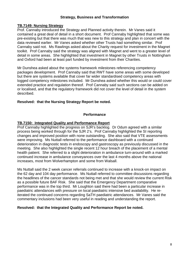## **Strategy, Business and Transformation**

## **TB.7149: Nursing Strategy**

Prof. Cannaby introduced the Strategy and Planned activity therein. Mr Vanes said it contained a great deal of detail in a short document. Prof Cannaby highlighted that some was pre-existing but that there was much that was new to this strategy and plan in concert with the data reviewed earlier. Mr Vanes asked whether other Trusts had something similar. Prof Cannaby said not. Ms Rawlings asked about the Charity request for investment in the Magnet toolkit. Prof Cannaby said the strategy was aligned with Magnet and went to a greater level of detail in some areas. She highlighted that investment in Magnet by other Trusts in Nottingham and Oxford had been at least part funded by investment from their Charities.

Mr Dunshea asked about the systems framework milestones referencing competency packages development. Prof Cannaby said that RWT have some areas with some developed but there are systems available that cover far wider standardised competency areas with logged competency milestones included. Mr Dunshea asked whether this would or could cover extended practice and regulation thereof. Prof Cannaby said such sections can be added on or localised, and that the regulatory framework did not cover the level of detail in the system described.

## **Resolved: that the Nursing Strategy Report be noted.**

## **Performance**

## **TB.7150: Integrated Quality and Performance Report**

Prof Cannaby highlighted the progress on SJR's backlog. Dr Odum agreed with a similar process being worked through for the SJR 2's. Prof Cannaby highlighted the SI reporting changes and improved position with none outstanding. She also said that VTE assessments were improving. Ms Nuttall referred to the performance dashboard with a continued deterioration in diagnostic tests in endoscopy and gastroscopy as previously discussed in the meeting. She also highlighted the single recent 12 hour breach of the placement of a mental health patient. She referred to a slight deterioration in ambulance turn-around with a marked continued increase in ambulance conveyances over the last 4 months above the national increases, most from Wolverhampton and some from Walsall.

Ms Nuttall said the 2 week cancer referrals continued to increase with a knock-on impact on the 62 day and 104 day performance. Ms Nuttall referred to committee discussions regarding the headlines of the cancer standards not being met and that she would review the current Risk as a possible future BAF Risk. She said that the Emergency Department comparative performance was in the top third. Mr Loughton said there had been a particular increase in paediatric attendances with pressure on local paediatric intensive bed availability. He reiterated the continued concerns regarding SaTH paediatric attendances. Mr Vanes said the commentary inclusions had been very useful in reading and understanding the report.

#### **Resolved: that the Integrated Quality and Performance Report be noted.**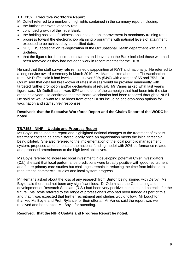## **TB. 7152: Executive Workforce Report**

Mr Duffell referred to a number of highlights contained in the summary report including;

- the further improved vacancy rate,
- continued growth of the Trust Bank,
- the holding position of sickness absence and an improvement in mandatory training rates,
- progress toward the electronic job planning programme with national levels of attainment expected to be achieved by a specified date,
- SEQOHS accreditation re-registration of the Occupational Health department with annual updates,
- that the figures for the increased starters and leavers on the Bank included those who had been removed as they had not done work in recent months for the Trust.

He said that the staff survey rate remained disappointing at RWT and nationally. He referred to a long service award ceremony in March 2019. Ms Martin asked about the Flu Vaccination rate. Mr Duffell said it had levelled at just over 50% (54%) with a target of 65 and 75%. Dr Odum said that detailed breakdown of rates in areas would be provided imminently with targeted further promotion and/or declarations of refusal. Mr Vanes asked what last year's figure was. Mr Duffell said it was 62% at the end of the campaign that had been into the start of the next year. He confirmed that the Board vaccination had been reported through to NHSi. He said he would want to use ideas from other Trusts including one-stop-shop options for vaccination and staff survey responses.

## **Resolved: that the Executive Workforce Report and the Chairs Report of the WODC be noted.**

## **TB.7153: NIHR – Update and Progress Report**

Ms Boyle introduced the report and highlighted national changes to the treatment of excess treatment costs to be administered locally once an organisation meets the initial threshold being piloted. She also referred to the implementation of the local portfolio management system, proposed amendments to the national funding model with 20% performance related and proposed amendments to the high level objectives.

Ms Boyle referred to increased local investment in developing potential Chief Investigators (C.I.) she said that local performance predictions were broadly positive with good recruitment and future primary care studies but challenges remain in reducing the time from initiation to recruitment, commercial studies and local system progress.

Mr Hemans asked about the loss of any research from Burton being aligned with Derby. Ms Boyle said there had not been any significant loss. Dr Odum said the C.I. training and development of Research Scholars (R.S.) had been very positive in impact and potential for the future. Ms Boyle referred to the range of professionals who had been funded as part of this, and that it was expected that further recruitment and studies would follow. Mr Loughton thanked Ms Boyle and Prof. Rylance for their efforts. Mr Vanes said the report was well received and he thanked Ms Boyle for attending.

## **Resolved: that the NIHR Update and Progress Report be noted.**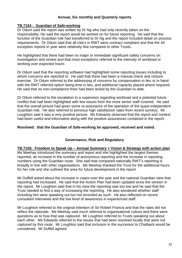## **Annual, Six monthly and Quarterly reports**

## **TB.7154 : Guardian of Safe-working**

Dr Odum said the report was written by Dr Ng who had only recently taken on the responsibility. He said the report would be worked on for future reporting. He said that the function of the Guardian role had transferred to Dr Ng and the report included detail on process requirements. Dr Odum said that all rota's in RWT were contract compliant and that the 44 exception reports in year were relatively few compared to other Trusts.

He highlighted that there had been no major or immediate significant safety concerns on investigation and review and that most exceptions referred to the intensity of workload or working over expected hours.

Dr Odum said that the reporting software had highlighted some reporting issues including to whom concerns are reported to. He said that there had been a manual check and closure exercise. Dr Odum referred to the addressing of concerns by compensation in lieu or in hand with the RWT referred option being time in lieu, and additional capacity placed where required. He said that no non-compliance fines had been levied by the Guardian to date.

Dr Odum referred to the escalation to a supervisor regarding workload and a potential future conflict that had been highlighted with few issues from the more senior staff covered. He said that the overall picture had given some re-assurance of the operation of the quasi-independent Guardian role. He also referred to previous high satisfaction rates from recent surveys. Mr Loughton said it was a very positive picture. Ms Edwards observed that the report and context had been useful and informative along with the positive assurances contained in the report.

## **Resolved: that the Guardian of Safe-working be approved, received and noted.**

## **Governance, Risk and Regulatory**

#### **TB.7155: Freedom to Speak Up – Annual Summary + Vision & Strategy with action plan**

Ms Meehay introduced the summary and report and she highlighted the largest themes reported, an increase in the number of anonymous reporting and the increase in reporting numbers using the Guardian route. She said that compared nationally RWT's reporting is broadly in line with other organisations. Ms Meehay thanked the Trust for the additional hours for her role and she outlined the area for future development in the report.

Mr Duffell asked about the increase in cases over the year and the national Guardian view that reporting had increased. He said that the Action Plan had been updated since the version in the report. Mr Loughton said that in his view the reporting was too low and he said that the Trust needed to find a way of increasing the reporting. He also wondered whether staff including him were speaking out but not recorded as such. He also reflected on recent consultant interviews and the low level of awareness in experienced staff.

Mr Loughton referred to the original intention of Sir Robert Francis and that the rates did not reflect the rationale. Ms Meehay said much referred to organisational culture and there were questions as to how that was captured. Mr Loughton referred to Trusts speaking out about each other. Ms Edwards referred to the issues that had been resolved locally that were not captured by this route. Mr Loughton said that inclusion in the successor to Chatback would be considered. Mr Duffell agreed.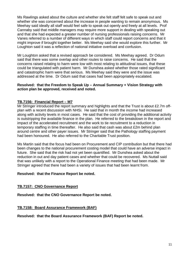Ms Rawlings asked about the culture and whether she felt staff felt safe to speak out and whether she was concerned about the increase in people wanting to remain anonymous. Ms Meehay said ideally all staff would feel safe to speak out openly and freely at all levels. Prof Cannaby said that middle managers may require more support in dealing with speaking out and that she had expected a greater number of nursing professionals raising concerns. Mr Vanes referred to a number of different ways in which staff could report concerns and that it might improve if brought together better. Ms Meehay said she would explore this further. Mr Loughton said it was a reflection of national initiative overload and confusion.

Mr Loughton asked that a revised approach be considered. Ms Meehay agreed. Dr Odum said that there was some overlap and other routes to raise concerns. He said that the concerns raised relating to harm were low with most relating to attitudinal issues, that these could be triangulated with patient harm. Mr Dunshea asked whether those rated significant and catastrophic harm were that serious. Ms Meehay said they were and the issue was addressed at the time. Dr Odum said that cases had been appropriately escalated.

#### **Resolved: that the Freedom to Speak Up – Annual Summary + Vision Strategy with action plan be approved, received and noted.**

## **TB.7156: Financial Report – M7**

Mr Stringer introduced the report summary and highlights and that the Trust is about £2.7m offplan with a recent discussion with NHSi. He said that in month the income had increased along with activity levels in most cases. He said that the cost of providing the additional activity is outstripping the available finance in the plan. He referred to the breakdown in the report and impact of the accelerated recruitment and the work to tie recruitment to a reduction in temporary staffing in time thereafter. He also said that cash was about £2m behind plan around centre and other payer issues. Mr Stringer said that the Pathology staffing payment had been honoured. He also referred to the Charitable Trust position.

Ms Martin said that the focus had been on Procurement and CIP contribution but that there had been changes to the national procurement costing model that could have an adverse impact in future. She said that the risk had not yet been quantified. Mr Dunshea asked about the reduction in out and day patient cases and whether that could be recovered. Ms Nuttall said that was unlikely with a report to the Operational Finance meeting that had been made. Mr Stringer agreed that there had been a variety of issues that had been learnt from.

## **Resolved: that the Finance Report be noted.**

## **TB.7157: CNO Governance Report**

**Resolved: that the CNO Governance Report be noted.**

## **TB.7158: Board Assurance Framework (BAF)**

**Resolved: that the Board Assurance Framework (BAF) Report be noted.**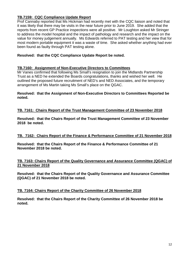## **TB.7159: CQC Compliance Update Report**

Prof Cannaby reported that Ms Hickman had recently met with the CQC liaison and noted that it was likely that there may be visits in the near future prior to June 2019. She added that the reports from recent GP Practice inspections were all positive. Mr Loughton asked Mr Stringer to address the model hospital and the impact of pathology and research and the impact on the value for money judgement annually. Ms Edwards referred to PAT testing and her view that for most modern portable equipment it was a waste of time. She asked whether anything had ever been found as faulty through PAT testing alone.

## **Resolved: that the CQC Compliance Update Report be noted.**

#### **TB.7160: Assignment of Non-Executive Directors to Committees**

Mr Vanes confirmed that following Ms Small's resignation to join the Midlands Partnership Trust as a NED he extended the Boards congratulations, thanks and wished her well. He outlined the proposed future recruitment of NED's and NED Associates, and the temporary arrangement of Ms Martin taking Ms Small's place on the QGAC.

#### **Resolved: that the Assignment of Non-Executive Directors to Committees Reported be noted.**

## **TB. 7161: Chairs Report of the Trust Management Committee of 23 November 2018**

**Resolved: that the Chairs Report of the Trust Management Committee of 23 November 2018 be noted.**

#### **TB. 7162: Chairs Report of the Finance & Performance Committee of 21 November 2018**

**Resolved: that the Chairs Report of the Finance & Performance Committee of 21 November 2018 be noted.**

#### **TB. 7163: Chairs Report of the Quality Governance and Assurance Committee (QGAC) of 21 November 2018**

**Resolved: that the Chairs Report of the Quality Governance and Assurance Committee (QGAC) of 21 November 2018 be noted.** 

#### **TB. 7164: Chairs Report of the Charity Committee of 26 November 2018**

**Resolved: that the Chairs Report of the Charity Committee of 26 November 2018 be noted.**